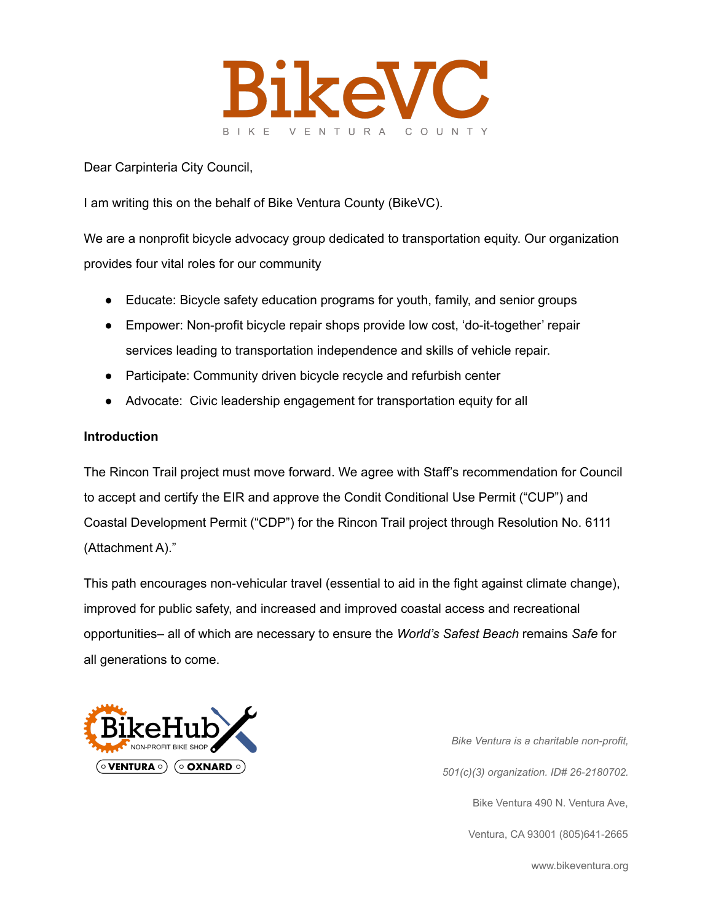

Dear Carpinteria City Council,

I am writing this on the behalf of Bike Ventura County (BikeVC).

We are a nonprofit bicycle advocacy group dedicated to transportation equity. Our organization provides four vital roles for our community

- Educate: Bicycle safety education programs for youth, family, and senior groups
- Empower: Non-profit bicycle repair shops provide low cost, 'do-it-together' repair services leading to transportation independence and skills of vehicle repair.
- Participate: Community driven bicycle recycle and refurbish center
- Advocate: Civic leadership engagement for transportation equity for all

### **Introduction**

The Rincon Trail project must move forward. We agree with Staff's recommendation for Council to accept and certify the EIR and approve the Condit Conditional Use Permit ("CUP") and Coastal Development Permit ("CDP") for the Rincon Trail project through Resolution No. 6111 (Attachment A)."

This path encourages non-vehicular travel (essential to aid in the fight against climate change), improved for public safety, and increased and improved coastal access and recreational opportunities– all of which are necessary to ensure the *World's Safest Beach* remains *Safe* for all generations to come.



*Bike Ventura is a charitable non-profit, 501(c)(3) organization. ID# 26-2180702.* Bike Ventura 490 N. Ventura Ave, Ventura, CA 93001 (805)641-2665

www.bikeventura.org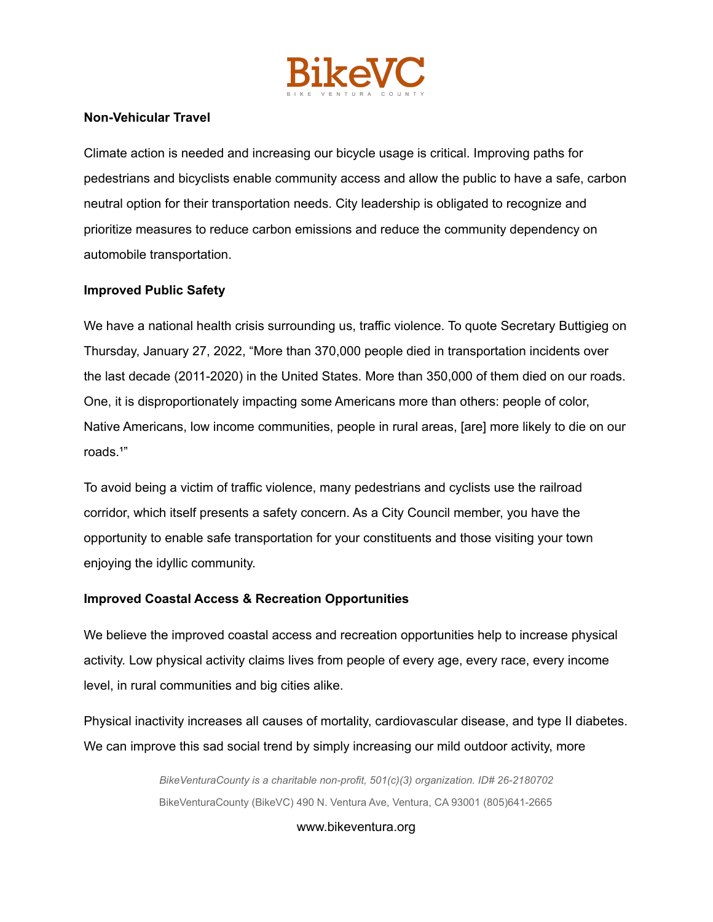

## **Non-Vehicular Travel**

Climate action is needed and increasing our bicycle usage is critical. Improving paths for pedestrians and bicyclists enable community access and allow the public to have a safe, carbon neutral option for their transportation needs. City leadership is obligated to recognize and prioritize measures to reduce carbon emissions and reduce the community dependency on automobile transportation.

### **Improved Public Safety**

We have a national health crisis surrounding us, traffic violence. To quote Secretary Buttigieg on Thursday, January 27, 2022, "More than 370,000 people died in transportation incidents over the last decade (2011-2020) in the United States. More than 350,000 of them died on our roads. One, it is disproportionately impacting some Americans more than others: people of color, Native Americans, low income communities, people in rural areas, [are] more likely to die on our roads.<sup>1"</sup>

To avoid being a victim of traffic violence, many pedestrians and cyclists use the railroad corridor, which itself presents a safety concern. As a City Council member, you have the opportunity to enable safe transportation for your constituents and those visiting your town enjoying the idyllic community.

### **Improved Coastal Access & Recreation Opportunities**

We believe the improved coastal access and recreation opportunities help to increase physical activity. Low physical activity claims lives from people of every age, every race, every income level, in rural communities and big cities alike.

Physical inactivity increases all causes of mortality, cardiovascular disease, and type II diabetes. We can improve this sad social trend by simply increasing our mild outdoor activity, more

> *BikeVenturaCounty is a charitable non-profit, 501(c)(3) organization. ID# 26-2180702* BikeVenturaCounty (BikeVC) 490 N. Ventura Ave, Ventura, CA 93001 (805)641-2665

> > www.bikeventura.org